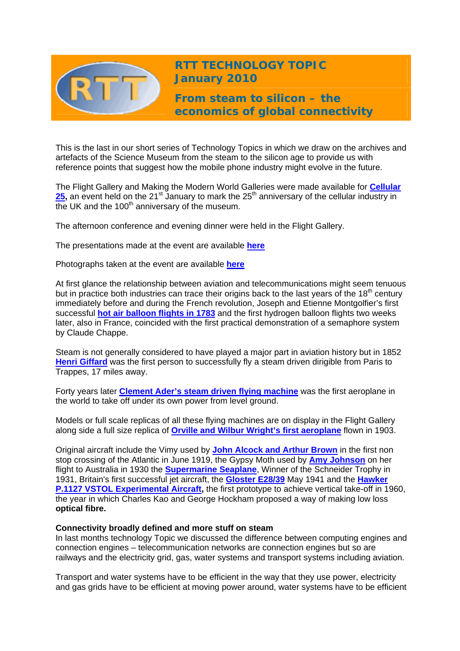

**RTT TECHNOLOGY TOPIC January 2010** 

**From steam to silicon – the economics of global connectivity** 

This is the last in our short series of Technology Topics in which we draw on the archives and artefacts of the Science Museum from the steam to the silicon age to provide us with reference points that suggest how the mobile phone industry might evolve in the future.

The Flight Gallery and Making the Modern World Galleries were made available for **[Cellular](http://www.cambridgewireless.co.uk/cellular25/)**  [25](http://www.cambridgewireless.co.uk/cellular25/), an event held on the 21<sup>st</sup> January to mark the 25<sup>th</sup> anniversary of the cellular industry in the UK and the  $100<sup>th</sup>$  anniversary of the museum.

The afternoon conference and evening dinner were held in the Flight Gallery.

The presentations made at the event are available **[here](http://www.cambridgewireless.co.uk/resources/)**

Photographs taken at the event are available **[here](http://cambridgewireless.co.uk/cellular25)**

At first glance the relationship between aviation and telecommunications might seem tenuous but in practice both industries can trace their origins back to the last years of the 18<sup>th</sup> century immediately before and during the French revolution, Joseph and Etienne Montgolfier's first successful **[hot air balloon flights in 1783](http://www.sciencemuseum.org.uk/objects/aeronautics/1914-225.aspx)** and the first hydrogen balloon flights two weeks later, also in France, coincided with the first practical demonstration of a semaphore system by Claude Chappe.

Steam is not generally considered to have played a major part in aviation history but in 1852 **[Henri Giffard](http://www.sciencemuseum.org.uk/objects/aeronautics/1927-908.aspx)** was the first person to successfully fly a steam driven dirigible from Paris to Trappes, 17 miles away.

Forty years later **[Clement Ader's steam driven flying machine](http://www.sciencemuseum.org.uk/objects/aeronautics/1939-322.aspx)** was the first aeroplane in the world to take off under its own power from level ground.

Models or full scale replicas of all these flying machines are on display in the Flight Gallery along side a full size replica of **[Orville and Wilbur Wright's first aeroplane](http://www.sciencemuseum.org.uk/objects/aeronautics/1948-268.aspx)** flown in 1903.

Original aircraft include the Vimy used by **[John Alcock and Arthur Brown](http://www.sciencemuseum.org.uk/objects/aeronautics/1919-476.aspx)** in the first non stop crossing of the Atlantic in June 1919, the Gypsy Moth used by **[Amy Johnson](http://www.sciencemuseum.org.uk/objects/aeronautics/1931-27.aspx)** on her flight to Australia in 1930 the **[Supermarine Seaplane](http://www.sciencemuseum.org.uk/objects/aeronautics/1932-532.aspx)**, Winner of the Schneider Trophy in 1931, Britain's first successful jet aircraft, the **[Gloster E28/39](http://www.sciencemuseum.org.uk/objects/aeronautics/1946-110.aspx)** May 1941 and the **[Hawker](http://www.sciencemuseum.org.uk/objects/aeronautics/1992-796.aspx)  [P.1127 VSTOL Experimental Aircraft,](http://www.sciencemuseum.org.uk/objects/aeronautics/1992-796.aspx)** the first prototype to achieve vertical take-off in 1960, the year in which Charles Kao and George Hockham proposed a way of making low loss **optical fibre.** 

## **Connectivity broadly defined and more stuff on steam**

In last months technology Topic we discussed the difference between computing engines and connection engines – telecommunication networks are connection engines but so are railways and the electricity grid, gas, water systems and transport systems including aviation.

Transport and water systems have to be efficient in the way that they use power, electricity and gas grids have to be efficient at moving power around, water systems have to be efficient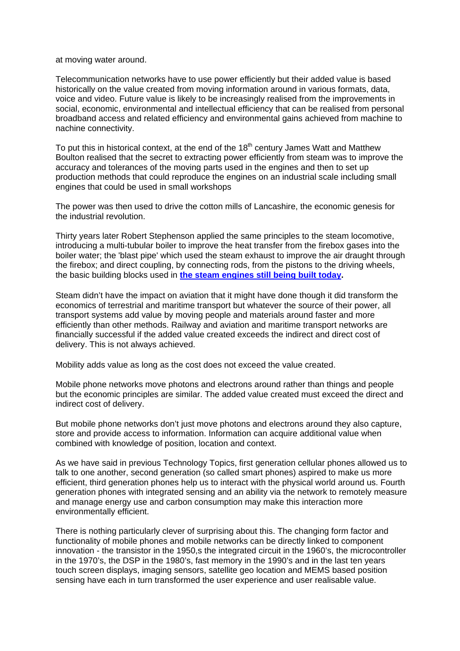at moving water around.

Telecommunication networks have to use power efficiently but their added value is based historically on the value created from moving information around in various formats, data, voice and video. Future value is likely to be increasingly realised from the improvements in social, economic, environmental and intellectual efficiency that can be realised from personal broadband access and related efficiency and environmental gains achieved from machine to nachine connectivity.

To put this in historical context, at the end of the  $18<sup>th</sup>$  century James Watt and Matthew Boulton realised that the secret to extracting power efficiently from steam was to improve the accuracy and tolerances of the moving parts used in the engines and then to set up production methods that could reproduce the engines on an industrial scale including small engines that could be used in small workshops

The power was then used to drive the cotton mills of Lancashire, the economic genesis for the industrial revolution.

Thirty years later Robert Stephenson applied the same principles to the steam locomotive, introducing a multi-tubular boiler to improve the heat transfer from the firebox gases into the boiler water; the 'blast pipe' which used the steam exhaust to improve the air draught through the firebox; and direct coupling, by connecting rods, from the pistons to the driving wheels, the basic building blocks used in **[the steam engines still being built today.](http://news.bbc.co.uk/1/hi/uk/7876162.stm)**

Steam didn't have the impact on aviation that it might have done though it did transform the economics of terrestrial and maritime transport but whatever the source of their power, all transport systems add value by moving people and materials around faster and more efficiently than other methods. Railway and aviation and maritime transport networks are financially successful if the added value created exceeds the indirect and direct cost of delivery. This is not always achieved.

Mobility adds value as long as the cost does not exceed the value created.

Mobile phone networks move photons and electrons around rather than things and people but the economic principles are similar. The added value created must exceed the direct and indirect cost of delivery.

But mobile phone networks don't just move photons and electrons around they also capture, store and provide access to information. Information can acquire additional value when combined with knowledge of position, location and context.

As we have said in previous Technology Topics, first generation cellular phones allowed us to talk to one another, second generation (so called smart phones) aspired to make us more efficient, third generation phones help us to interact with the physical world around us. Fourth generation phones with integrated sensing and an ability via the network to remotely measure and manage energy use and carbon consumption may make this interaction more environmentally efficient.

There is nothing particularly clever of surprising about this. The changing form factor and functionality of mobile phones and mobile networks can be directly linked to component innovation - the transistor in the 1950, s the integrated circuit in the 1960's, the microcontroller in the 1970's, the DSP in the 1980's, fast memory in the 1990's and in the last ten years touch screen displays, imaging sensors, satellite geo location and MEMS based position sensing have each in turn transformed the user experience and user realisable value.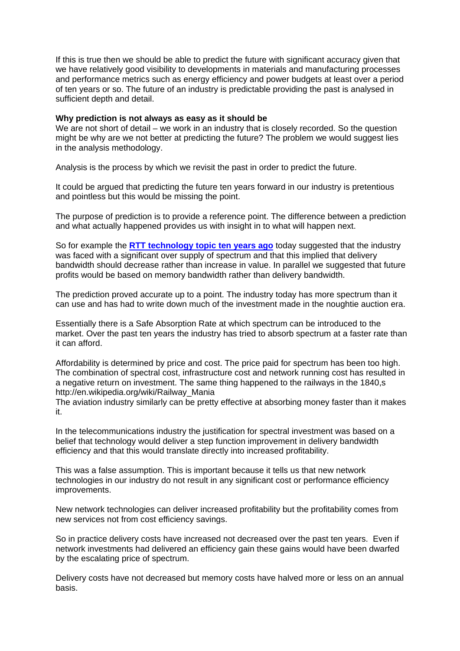If this is true then we should be able to predict the future with significant accuracy given that we have relatively good visibility to developments in materials and manufacturing processes and performance metrics such as energy efficiency and power budgets at least over a period of ten years or so. The future of an industry is predictable providing the past is analysed in sufficient depth and detail.

## **Why prediction is not always as easy as it should be**

We are not short of detail – we work in an industry that is closely recorded. So the question might be why are we not better at predicting the future? The problem we would suggest lies in the analysis methodology.

Analysis is the process by which we revisit the past in order to predict the future.

It could be argued that predicting the future ten years forward in our industry is pretentious and pointless but this would be missing the point.

The purpose of prediction is to provide a reference point. The difference between a prediction and what actually happened provides us with insight in to what will happen next.

So for example the **[RTT technology topic ten years ago](http://www.rttonline.com/tt/TT2000_001.pdf)** today suggested that the industry was faced with a significant over supply of spectrum and that this implied that delivery bandwidth should decrease rather than increase in value. In parallel we suggested that future profits would be based on memory bandwidth rather than delivery bandwidth.

The prediction proved accurate up to a point. The industry today has more spectrum than it can use and has had to write down much of the investment made in the noughtie auction era.

Essentially there is a Safe Absorption Rate at which spectrum can be introduced to the market. Over the past ten years the industry has tried to absorb spectrum at a faster rate than it can afford.

Affordability is determined by price and cost. The price paid for spectrum has been too high. The combination of spectral cost, infrastructure cost and network running cost has resulted in a negative return on investment. The same thing happened to the railways in the 1840,s http://en.wikipedia.org/wiki/Railway\_Mania

The aviation industry similarly can be pretty effective at absorbing money faster than it makes it.

In the telecommunications industry the justification for spectral investment was based on a belief that technology would deliver a step function improvement in delivery bandwidth efficiency and that this would translate directly into increased profitability.

This was a false assumption. This is important because it tells us that new network technologies in our industry do not result in any significant cost or performance efficiency improvements.

New network technologies can deliver increased profitability but the profitability comes from new services not from cost efficiency savings.

So in practice delivery costs have increased not decreased over the past ten years. Even if network investments had delivered an efficiency gain these gains would have been dwarfed by the escalating price of spectrum.

Delivery costs have not decreased but memory costs have halved more or less on an annual basis.